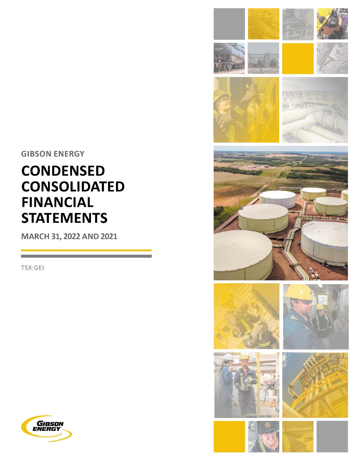**GIBSON ENERGY** 

# **CONDENSED CONSOLIDATED FINANCIAL STATEMENTS**

MARCH 31, 2022 AND 2021

TSX:GEI



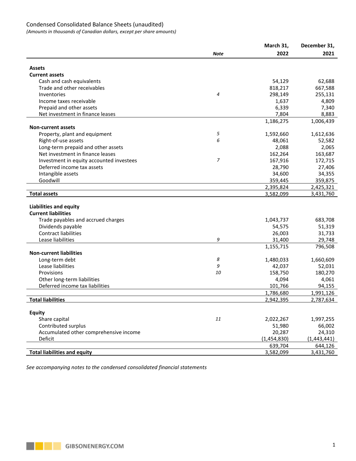# Condensed Consolidated Balance Sheets (unaudited)

*(Amounts in thousands of Canadian dollars, except per share amounts)*

| <b>Note</b><br>2022<br>2021<br><b>Assets</b><br><b>Current assets</b><br>Cash and cash equivalents<br>54,129<br>62,688<br>Trade and other receivables<br>818,217<br>667,588<br>4<br>298,149<br>255,131<br>Inventories<br>Income taxes receivable<br>1,637<br>4,809<br>Prepaid and other assets<br>6,339<br>7,340<br>Net investment in finance leases<br>7,804<br>8,883<br>1,186,275<br>1,006,439<br><b>Non-current assets</b><br>5<br>Property, plant and equipment<br>1,592,660<br>1,612,636<br>6<br>Right-of-use assets<br>48,061<br>52,582<br>Long-term prepaid and other assets<br>2,088<br>2,065<br>Net investment in finance leases<br>162,264<br>163,687<br>7<br>167,916<br>Investment in equity accounted investees<br>172,715<br>Deferred income tax assets<br>28,790<br>27,406<br>Intangible assets<br>34,355<br>34,600<br>Goodwill<br>359,445<br>359,875<br>2,395,824<br>2,425,321 |
|-----------------------------------------------------------------------------------------------------------------------------------------------------------------------------------------------------------------------------------------------------------------------------------------------------------------------------------------------------------------------------------------------------------------------------------------------------------------------------------------------------------------------------------------------------------------------------------------------------------------------------------------------------------------------------------------------------------------------------------------------------------------------------------------------------------------------------------------------------------------------------------------------|
|                                                                                                                                                                                                                                                                                                                                                                                                                                                                                                                                                                                                                                                                                                                                                                                                                                                                                               |
|                                                                                                                                                                                                                                                                                                                                                                                                                                                                                                                                                                                                                                                                                                                                                                                                                                                                                               |
|                                                                                                                                                                                                                                                                                                                                                                                                                                                                                                                                                                                                                                                                                                                                                                                                                                                                                               |
|                                                                                                                                                                                                                                                                                                                                                                                                                                                                                                                                                                                                                                                                                                                                                                                                                                                                                               |
|                                                                                                                                                                                                                                                                                                                                                                                                                                                                                                                                                                                                                                                                                                                                                                                                                                                                                               |
|                                                                                                                                                                                                                                                                                                                                                                                                                                                                                                                                                                                                                                                                                                                                                                                                                                                                                               |
|                                                                                                                                                                                                                                                                                                                                                                                                                                                                                                                                                                                                                                                                                                                                                                                                                                                                                               |
|                                                                                                                                                                                                                                                                                                                                                                                                                                                                                                                                                                                                                                                                                                                                                                                                                                                                                               |
|                                                                                                                                                                                                                                                                                                                                                                                                                                                                                                                                                                                                                                                                                                                                                                                                                                                                                               |
|                                                                                                                                                                                                                                                                                                                                                                                                                                                                                                                                                                                                                                                                                                                                                                                                                                                                                               |
|                                                                                                                                                                                                                                                                                                                                                                                                                                                                                                                                                                                                                                                                                                                                                                                                                                                                                               |
|                                                                                                                                                                                                                                                                                                                                                                                                                                                                                                                                                                                                                                                                                                                                                                                                                                                                                               |
|                                                                                                                                                                                                                                                                                                                                                                                                                                                                                                                                                                                                                                                                                                                                                                                                                                                                                               |
|                                                                                                                                                                                                                                                                                                                                                                                                                                                                                                                                                                                                                                                                                                                                                                                                                                                                                               |
|                                                                                                                                                                                                                                                                                                                                                                                                                                                                                                                                                                                                                                                                                                                                                                                                                                                                                               |
|                                                                                                                                                                                                                                                                                                                                                                                                                                                                                                                                                                                                                                                                                                                                                                                                                                                                                               |
|                                                                                                                                                                                                                                                                                                                                                                                                                                                                                                                                                                                                                                                                                                                                                                                                                                                                                               |
|                                                                                                                                                                                                                                                                                                                                                                                                                                                                                                                                                                                                                                                                                                                                                                                                                                                                                               |
|                                                                                                                                                                                                                                                                                                                                                                                                                                                                                                                                                                                                                                                                                                                                                                                                                                                                                               |
|                                                                                                                                                                                                                                                                                                                                                                                                                                                                                                                                                                                                                                                                                                                                                                                                                                                                                               |
| <b>Total assets</b><br>3,582,099<br>3,431,760                                                                                                                                                                                                                                                                                                                                                                                                                                                                                                                                                                                                                                                                                                                                                                                                                                                 |
|                                                                                                                                                                                                                                                                                                                                                                                                                                                                                                                                                                                                                                                                                                                                                                                                                                                                                               |
| Liabilities and equity                                                                                                                                                                                                                                                                                                                                                                                                                                                                                                                                                                                                                                                                                                                                                                                                                                                                        |
| <b>Current liabilities</b>                                                                                                                                                                                                                                                                                                                                                                                                                                                                                                                                                                                                                                                                                                                                                                                                                                                                    |
| 1,043,737<br>Trade payables and accrued charges<br>683,708                                                                                                                                                                                                                                                                                                                                                                                                                                                                                                                                                                                                                                                                                                                                                                                                                                    |
| Dividends payable<br>51,319<br>54,575                                                                                                                                                                                                                                                                                                                                                                                                                                                                                                                                                                                                                                                                                                                                                                                                                                                         |
| <b>Contract liabilities</b><br>31,733<br>26,003                                                                                                                                                                                                                                                                                                                                                                                                                                                                                                                                                                                                                                                                                                                                                                                                                                               |
| 9<br>29,748<br>Lease liabilities<br>31,400                                                                                                                                                                                                                                                                                                                                                                                                                                                                                                                                                                                                                                                                                                                                                                                                                                                    |
| 796,508<br>1,155,715                                                                                                                                                                                                                                                                                                                                                                                                                                                                                                                                                                                                                                                                                                                                                                                                                                                                          |
| <b>Non-current liabilities</b>                                                                                                                                                                                                                                                                                                                                                                                                                                                                                                                                                                                                                                                                                                                                                                                                                                                                |
| 8<br>Long-term debt<br>1,480,033<br>1,660,609                                                                                                                                                                                                                                                                                                                                                                                                                                                                                                                                                                                                                                                                                                                                                                                                                                                 |
| 9<br>Lease liabilities<br>42,037<br>52,031                                                                                                                                                                                                                                                                                                                                                                                                                                                                                                                                                                                                                                                                                                                                                                                                                                                    |
| 10<br>158,750<br>180,270<br>Provisions                                                                                                                                                                                                                                                                                                                                                                                                                                                                                                                                                                                                                                                                                                                                                                                                                                                        |
| Other long-term liabilities<br>4,094<br>4,061                                                                                                                                                                                                                                                                                                                                                                                                                                                                                                                                                                                                                                                                                                                                                                                                                                                 |
| Deferred income tax liabilities<br>101,766<br>94,155                                                                                                                                                                                                                                                                                                                                                                                                                                                                                                                                                                                                                                                                                                                                                                                                                                          |
| 1,786,680<br>1,991,126<br><b>Total liabilities</b>                                                                                                                                                                                                                                                                                                                                                                                                                                                                                                                                                                                                                                                                                                                                                                                                                                            |
| 2,942,395<br>2,787,634                                                                                                                                                                                                                                                                                                                                                                                                                                                                                                                                                                                                                                                                                                                                                                                                                                                                        |
| <b>Equity</b>                                                                                                                                                                                                                                                                                                                                                                                                                                                                                                                                                                                                                                                                                                                                                                                                                                                                                 |
| 11<br>Share capital<br>2,022,267<br>1,997,255                                                                                                                                                                                                                                                                                                                                                                                                                                                                                                                                                                                                                                                                                                                                                                                                                                                 |
| Contributed surplus<br>66,002<br>51,980                                                                                                                                                                                                                                                                                                                                                                                                                                                                                                                                                                                                                                                                                                                                                                                                                                                       |
| 24,310<br>Accumulated other comprehensive income<br>20,287                                                                                                                                                                                                                                                                                                                                                                                                                                                                                                                                                                                                                                                                                                                                                                                                                                    |
| (1,454,830)<br>Deficit<br>(1,443,441)                                                                                                                                                                                                                                                                                                                                                                                                                                                                                                                                                                                                                                                                                                                                                                                                                                                         |
| 639,704<br>644,126                                                                                                                                                                                                                                                                                                                                                                                                                                                                                                                                                                                                                                                                                                                                                                                                                                                                            |
| <b>Total liabilities and equity</b><br>3,582,099<br>3,431,760                                                                                                                                                                                                                                                                                                                                                                                                                                                                                                                                                                                                                                                                                                                                                                                                                                 |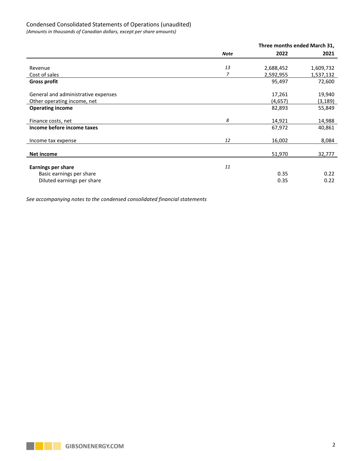# Condensed Consolidated Statements of Operations (unaudited)

*(Amounts in thousands of Canadian dollars, except per share amounts)*

|                                     |      | Three months ended March 31, |           |
|-------------------------------------|------|------------------------------|-----------|
|                                     | Note | 2022                         | 2021      |
|                                     |      |                              |           |
| Revenue                             | 13   | 2,688,452                    | 1,609,732 |
| Cost of sales                       | 7    | 2,592,955                    | 1,537,132 |
| <b>Gross profit</b>                 |      | 95,497                       | 72,600    |
| General and administrative expenses |      | 17,261                       | 19,940    |
| Other operating income, net         |      | (4,657)                      | (3, 189)  |
| <b>Operating income</b>             |      | 82,893                       | 55,849    |
| Finance costs, net                  | 8    | 14,921                       | 14,988    |
| Income before income taxes          |      | 67,972                       | 40,861    |
| Income tax expense                  | 12   | 16,002                       | 8,084     |
| Net income                          |      | 51,970                       | 32,777    |
|                                     | 11   |                              |           |
| <b>Earnings per share</b>           |      |                              |           |
| Basic earnings per share            |      | 0.35                         | 0.22      |
| Diluted earnings per share          |      | 0.35                         | 0.22      |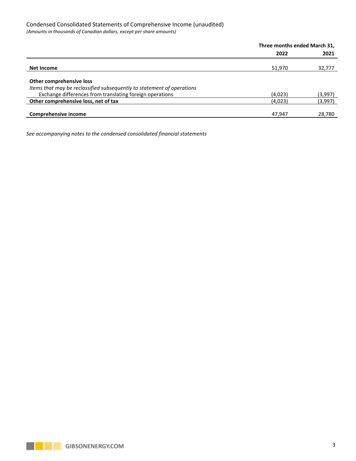# Condensed Consolidated Statements of Comprehensive Income (unaudited)

*(Amounts in thousands of Canadian dollars, except per share amounts)*

|                                                                        | Three months ended March 31, |         |  |
|------------------------------------------------------------------------|------------------------------|---------|--|
|                                                                        | 2022                         | 2021    |  |
| Net Income                                                             | 51,970                       | 32,777  |  |
| Other comprehensive loss                                               |                              |         |  |
| Items that may be reclassified subsequently to statement of operations |                              |         |  |
| Exchange differences from translating foreign operations               | (4,023)                      | (3,997) |  |
| Other comprehensive loss, net of tax                                   | (4,023)                      | (3,997) |  |
| Comprehensive income                                                   | 47,947                       | 28,780  |  |

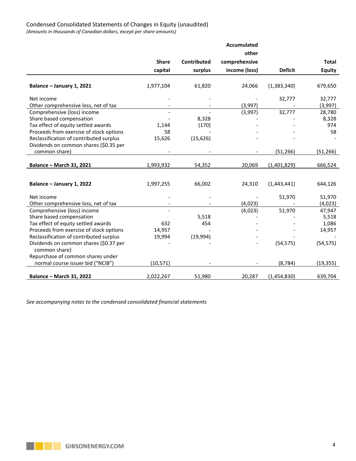*(Amounts in thousands of Canadian dollars, except per share amounts)*

|                                                         |              |                    | <b>Accumulated</b> |                |                 |
|---------------------------------------------------------|--------------|--------------------|--------------------|----------------|-----------------|
|                                                         |              |                    | other              |                |                 |
|                                                         | <b>Share</b> | <b>Contributed</b> | comprehensive      |                | <b>Total</b>    |
|                                                         | capital      | surplus            | income (loss)      | <b>Deficit</b> | <b>Equity</b>   |
| Balance - January 1, 2021                               | 1,977,104    | 61,820             | 24,066             | (1,383,340)    | 679,650         |
| Net income                                              |              |                    |                    | 32,777         | 32,777          |
| Other comprehensive loss, net of tax                    |              |                    | (3,997)            |                | (3,997)         |
| Comprehensive (loss) income<br>Share based compensation |              | 8,328              | (3,997)            | 32,777         | 28,780<br>8,328 |
| Tax effect of equity settled awards                     | 1,144        | (170)              |                    |                | 974             |
| Proceeds from exercise of stock options                 | 58           |                    |                    |                | 58              |
| Reclassification of contributed surplus                 | 15,626       | (15, 626)          |                    |                |                 |
| Dividends on common shares (\$0.35 per                  |              |                    |                    |                |                 |
| common share)                                           |              |                    |                    | (51, 266)      | (51, 266)       |
|                                                         |              |                    |                    |                |                 |
| <b>Balance - March 31, 2021</b>                         | 1,993,932    | 54,352             | 20,069             | (1,401,829)    | 666,524         |
|                                                         |              |                    |                    |                |                 |
| Balance - January 1, 2022                               | 1,997,255    | 66,002             | 24,310             | (1,443,441)    | 644,126         |
|                                                         |              |                    |                    |                |                 |
| Net income                                              |              |                    |                    | 51,970         | 51,970          |
| Other comprehensive loss, net of tax                    |              |                    | (4,023)            |                | (4,023)         |
| Comprehensive (loss) income                             |              |                    | (4,023)            | 51,970         | 47,947          |
| Share based compensation                                |              | 5,518              |                    |                | 5,518           |
| Tax effect of equity settled awards                     | 632          | 454                |                    |                | 1,086           |
| Proceeds from exercise of stock options                 | 14,957       |                    |                    |                | 14,957          |
| Reclassification of contributed surplus                 | 19,994       | (19,994)           |                    |                |                 |
| Dividends on common shares (\$0.37 per                  |              |                    |                    | (54, 575)      | (54, 575)       |
| common share)                                           |              |                    |                    |                |                 |
| Repurchase of common shares under                       |              |                    |                    |                |                 |
| normal course issuer bid ("NCIB")                       | (10, 571)    |                    |                    | (8, 784)       | (19, 355)       |
| <b>Balance - March 31, 2022</b>                         | 2,022,267    | 51,980             | 20,287             | (1,454,830)    | 639,704         |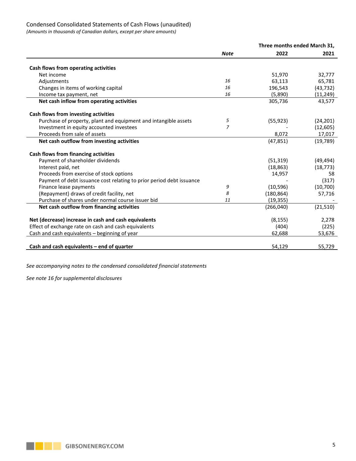# Condensed Consolidated Statements of Cash Flows (unaudited)

*(Amounts in thousands of Canadian dollars, except per share amounts)*

|                                                                      |                | Three months ended March 31. |           |
|----------------------------------------------------------------------|----------------|------------------------------|-----------|
|                                                                      | <b>Note</b>    | 2022                         | 2021      |
| Cash flows from operating activities                                 |                |                              |           |
| Net income                                                           |                | 51,970                       | 32,777    |
| Adjustments                                                          | 16             | 63,113                       | 65,781    |
| Changes in items of working capital                                  | 16             | 196,543                      | (43, 732) |
| Income tax payment, net                                              | 16             | (5,890)                      | (11, 249) |
| Net cash inflow from operating activities                            |                | 305,736                      | 43,577    |
| Cash flows from investing activities                                 |                |                              |           |
| Purchase of property, plant and equipment and intangible assets      | 5              | (55, 923)                    | (24, 201) |
| Investment in equity accounted investees                             | $\overline{z}$ |                              | (12, 605) |
| Proceeds from sale of assets                                         |                | 8,072                        | 17,017    |
| Net cash outflow from investing activities                           |                | (47, 851)                    | (19, 789) |
| <b>Cash flows from financing activities</b>                          |                |                              |           |
| Payment of shareholder dividends                                     |                | (51, 319)                    | (49, 494) |
| Interest paid, net                                                   |                | (18, 863)                    | (18, 773) |
| Proceeds from exercise of stock options                              |                | 14,957                       | 58        |
| Payment of debt issuance cost relating to prior period debt issuance |                |                              | (317)     |
| Finance lease payments                                               | 9              | (10, 596)                    | (10, 700) |
| (Repayment) draws of credit facility, net                            | 8              | (180, 864)                   | 57,716    |
| Purchase of shares under normal course issuer bid                    | 11             | (19, 355)                    |           |
| Net cash outflow from financing activities                           |                | (266, 040)                   | (21, 510) |
| Net (decrease) increase in cash and cash equivalents                 |                | (8, 155)                     | 2,278     |
| Effect of exchange rate on cash and cash equivalents                 |                | (404)                        | (225)     |
| Cash and cash equivalents - beginning of year                        |                | 62,688                       | 53,676    |
|                                                                      |                |                              |           |
| Cash and cash equivalents $-$ end of quarter                         |                | 54,129                       | 55,729    |

*See accompanying notes to the condensed consolidated financial statements*

*See note 16 for supplemental disclosures*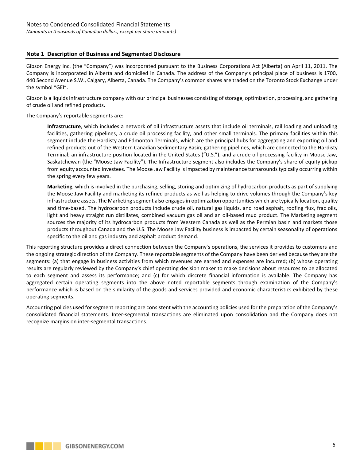# **Note 1 Description of Business and Segmented Disclosure**

Gibson Energy Inc. (the "Company") was incorporated pursuant to the Business Corporations Act (Alberta) on April 11, 2011. The Company is incorporated in Alberta and domiciled in Canada. The address of the Company's principal place of business is 1700, 440 Second Avenue S.W., Calgary, Alberta, Canada. The Company's common shares are traded on the Toronto Stock Exchange under the symbol "GEI".

Gibson is a liquids Infrastructure company with our principal businesses consisting of storage, optimization, processing, and gathering of crude oil and refined products.

The Company's reportable segments are:

**Infrastructure**, which includes a network of oil infrastructure assets that include oil terminals, rail loading and unloading facilities, gathering pipelines, a crude oil processing facility, and other small terminals. The primary facilities within this segment include the Hardisty and Edmonton Terminals, which are the principal hubs for aggregating and exporting oil and refined products out of the Western Canadian Sedimentary Basin; gathering pipelines, which are connected to the Hardisty Terminal; an infrastructure position located in the United States ("U.S."); and a crude oil processing facility in Moose Jaw, Saskatchewan (the "Moose Jaw Facility"). The Infrastructure segment also includes the Company's share of equity pickup from equity accounted investees. The Moose Jaw Facility is impacted by maintenance turnarounds typically occurring within the spring every few years.

**Marketing**, which is involved in the purchasing, selling, storing and optimizing of hydrocarbon products as part of supplying the Moose Jaw Facility and marketing its refined products as well as helping to drive volumes through the Company's key infrastructure assets. The Marketing segment also engages in optimization opportunities which are typically location, quality and time-based. The hydrocarbon products include crude oil, natural gas liquids, and road asphalt, roofing flux, frac oils, light and heavy straight run distillates, combined vacuum gas oil and an oil-based mud product. The Marketing segment sources the majority of its hydrocarbon products from Western Canada as well as the Permian basin and markets those products throughout Canada and the U.S. The Moose Jaw Facility business is impacted by certain seasonality of operations specific to the oil and gas industry and asphalt product demand.

This reporting structure provides a direct connection between the Company's operations, the services it provides to customers and the ongoing strategic direction of the Company. These reportable segments of the Company have been derived because they are the segments: (a) that engage in business activities from which revenues are earned and expenses are incurred; (b) whose operating results are regularly reviewed by the Company's chief operating decision maker to make decisions about resources to be allocated to each segment and assess its performance; and (c) for which discrete financial information is available. The Company has aggregated certain operating segments into the above noted reportable segments through examination of the Company's performance which is based on the similarity of the goods and services provided and economic characteristics exhibited by these operating segments.

Accounting policies used for segment reporting are consistent with the accounting policies used for the preparation of the Company's consolidated financial statements. Inter-segmental transactions are eliminated upon consolidation and the Company does not recognize margins on inter-segmental transactions.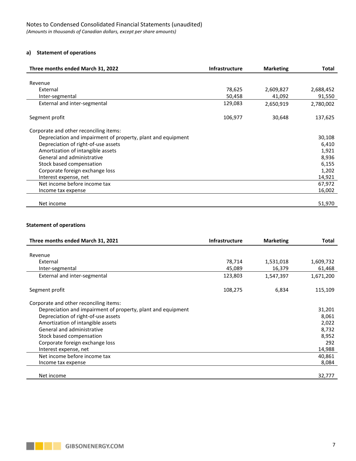# **a) Statement of operations**

| Three months ended March 31, 2022                            | <b>Infrastructure</b> | <b>Marketing</b> | Total     |
|--------------------------------------------------------------|-----------------------|------------------|-----------|
|                                                              |                       |                  |           |
| Revenue                                                      |                       |                  |           |
| External                                                     | 78,625                | 2,609,827        | 2,688,452 |
| Inter-segmental                                              | 50,458                | 41,092           | 91,550    |
| External and inter-segmental                                 | 129,083               | 2,650,919        | 2,780,002 |
| Segment profit                                               | 106,977               | 30,648           | 137,625   |
| Corporate and other reconciling items:                       |                       |                  |           |
| Depreciation and impairment of property, plant and equipment |                       |                  | 30,108    |
| Depreciation of right-of-use assets                          |                       |                  | 6,410     |
| Amortization of intangible assets                            |                       |                  | 1,921     |
| General and administrative                                   |                       |                  | 8,936     |
| Stock based compensation                                     |                       |                  | 6,155     |
| Corporate foreign exchange loss                              |                       |                  | 1,202     |
| Interest expense, net                                        |                       |                  | 14,921    |
| Net income before income tax                                 |                       |                  | 67,972    |
| Income tax expense                                           |                       |                  | 16,002    |
|                                                              |                       |                  |           |
| Net income                                                   |                       |                  | 51,970    |

# **Statement of operations**

| Three months ended March 31, 2021                            | <b>Infrastructure</b> | <b>Marketing</b> | <b>Total</b> |
|--------------------------------------------------------------|-----------------------|------------------|--------------|
|                                                              |                       |                  |              |
| Revenue                                                      |                       |                  |              |
| External                                                     | 78,714                | 1,531,018        | 1,609,732    |
| Inter-segmental                                              | 45,089                | 16,379           | 61,468       |
| External and inter-segmental                                 | 123,803               | 1,547,397        | 1,671,200    |
|                                                              |                       |                  |              |
| Segment profit                                               | 108,275               | 6,834            | 115,109      |
| Corporate and other reconciling items:                       |                       |                  |              |
| Depreciation and impairment of property, plant and equipment |                       |                  | 31,201       |
| Depreciation of right-of-use assets                          |                       |                  | 8,061        |
| Amortization of intangible assets                            |                       |                  | 2,022        |
| General and administrative                                   |                       |                  | 8,732        |
| Stock based compensation                                     |                       |                  | 8,952        |
| Corporate foreign exchange loss                              |                       |                  | 292          |
| Interest expense, net                                        |                       |                  | 14,988       |
| Net income before income tax                                 |                       |                  | 40,861       |
| Income tax expense                                           |                       |                  | 8,084        |
|                                                              |                       |                  |              |
| Net income                                                   |                       |                  | 32,777       |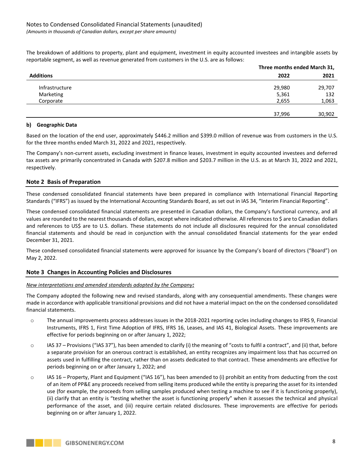The breakdown of additions to property, plant and equipment, investment in equity accounted investees and intangible assets by reportable segment, as well as revenue generated from customers in the U.S. are as follows:

|                  |        | Three months ended March 31, |  |  |
|------------------|--------|------------------------------|--|--|
| <b>Additions</b> | 2022   | 2021                         |  |  |
| Infrastructure   | 29,980 | 29,707                       |  |  |
| Marketing        | 5,361  | 132                          |  |  |
| Corporate        | 2,655  | 1,063                        |  |  |
|                  |        |                              |  |  |
|                  | 37,996 | 30,902                       |  |  |

#### **b) Geographic Data**

Based on the location of the end user, approximately \$446.2 million and \$399.0 million of revenue was from customers in the U.S. for the three months ended March 31, 2022 and 2021, respectively.

The Company's non-current assets, excluding investment in finance leases, investment in equity accounted investees and deferred tax assets are primarily concentrated in Canada with \$207.8 million and \$203.7 million in the U.S. as at March 31, 2022 and 2021, respectively.

# **Note 2 Basis of Preparation**

These condensed consolidated financial statements have been prepared in compliance with International Financial Reporting Standards ("IFRS") as issued by the International Accounting Standards Board, as set out in IAS 34, "Interim Financial Reporting".

These condensed consolidated financial statements are presented in Canadian dollars, the Company's functional currency, and all values are rounded to the nearest thousands of dollars, except where indicated otherwise. All references to \$ are to Canadian dollars and references to US\$ are to U.S. dollars. These statements do not include all disclosures required for the annual consolidated financial statements and should be read in conjunction with the annual consolidated financial statements for the year ended December 31, 2021.

These condensed consolidated financial statements were approved for issuance by the Company's board of directors ("Board") on May 2, 2022.

# **Note 3 Changes in Accounting Policies and Disclosures**

#### *New interpretations and amended standards adopted by the Company:*

The Company adopted the following new and revised standards, along with any consequential amendments. These changes were made in accordance with applicable transitional provisions and did not have a material impact on the on the condensed consolidated financial statements.

- o The annual improvements process addresses issues in the 2018-2021 reporting cycles including changes to IFRS 9, Financial Instruments, IFRS 1, First Time Adoption of IFRS, IFRS 16, Leases, and IAS 41, Biological Assets. These improvements are effective for periods beginning on or after January 1, 2022;
- $\circ$  IAS 37 Provisions ("IAS 37"), has been amended to clarify (i) the meaning of "costs to fulfil a contract", and (ii) that, before a separate provision for an onerous contract is established, an entity recognizes any impairment loss that has occurred on assets used in fulfilling the contract, rather than on assets dedicated to that contract. These amendments are effective for periods beginning on or after January 1, 2022; and
- $\circ$  IAS 16 Property, Plant and Equipment ("IAS 16"), has been amended to (i) prohibit an entity from deducting from the cost of an item of PP&E any proceeds received from selling items produced while the entity is preparing the asset for its intended use (for example, the proceeds from selling samples produced when testing a machine to see if it is functioning properly), (ii) clarify that an entity is "testing whether the asset is functioning properly" when it assesses the technical and physical performance of the asset, and (iii) require certain related disclosures. These improvements are effective for periods beginning on or after January 1, 2022.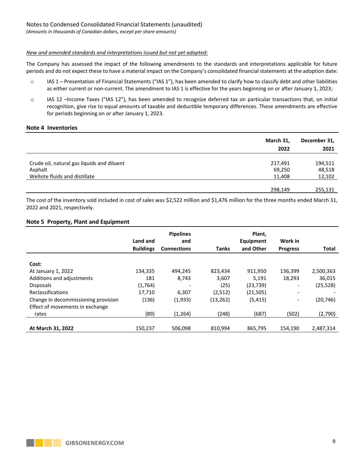#### *New and amended standards and interpretations issued but not yet adopted:*

The Company has assessed the impact of the following amendments to the standards and interpretations applicable for future periods and do not expect these to have a material impact on the Company's consolidated financial statements at the adoption date:

- $\circ$  IAS 1 Presentation of Financial Statements ("IAS 1"), has been amended to clarify how to classify debt and other liabilities as either current or non-current. The amendment to IAS 1 is effective for the years beginning on or after January 1, 2023;
- o IAS 12 –Income Taxes ("IAS 12"), has been amended to recognize deferred tax on particular transactions that, on initial recognition, give rise to equal amounts of taxable and deductible temporary differences. These amendments are effective for periods beginning on or after January 1, 2023.

#### **Note 4 Inventories**

|                                                                                         | March 31,<br>2022           | December 31,<br>2021        |
|-----------------------------------------------------------------------------------------|-----------------------------|-----------------------------|
| Crude oil, natural gas liquids and diluent<br>Asphalt<br>Wellsite fluids and distillate | 217,491<br>69,250<br>11,408 | 194,511<br>48,518<br>12,102 |
|                                                                                         | 298,149                     | 255,131                     |

The cost of the inventory sold included in cost of sales was \$2,522 million and \$1,476 million for the three months ended March 31, 2022 and 2021, respectively.

#### **Note 5 Property, Plant and Equipment**

|                                     | Land and<br><b>Buildings</b> | <b>Pipelines</b><br>and<br><b>Connections</b> | <b>Tanks</b> | Plant.<br>Equipment<br>and Other | Work in<br><b>Progress</b> | <b>Total</b> |
|-------------------------------------|------------------------------|-----------------------------------------------|--------------|----------------------------------|----------------------------|--------------|
| Cost:                               |                              |                                               |              |                                  |                            |              |
| At January 1, 2022                  | 134,335                      | 494.245                                       | 823,434      | 911,950                          | 136,399                    | 2,500,363    |
| Additions and adjustments           | 181                          | 8,743                                         | 3,607        | 5,191                            | 18,293                     | 36,015       |
| <b>Disposals</b>                    | (1,764)                      |                                               | (25)         | (23, 739)                        | $\overline{\phantom{0}}$   | (25, 528)    |
| <b>Reclassifications</b>            | 17.710                       | 6,307                                         | (2,512)      | (21, 505)                        |                            |              |
| Change in decommissioning provision | (136)                        | (1,933)                                       | (13, 262)    | (5, 415)                         |                            | (20, 746)    |
| Effect of movements in exchange     |                              |                                               |              |                                  |                            |              |
| rates                               | (89)                         | (1,264)                                       | (248)        | (687)                            | (502)                      | (2,790)      |
|                                     |                              |                                               |              |                                  |                            |              |
| At March 31, 2022                   | 150,237                      | 506,098                                       | 810,994      | 865,795                          | 154,190                    | 2,487,314    |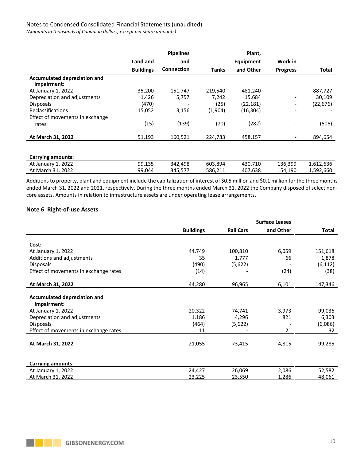# Notes to Condensed Consolidated Financial Statements (unaudited)

*(Amounts in thousands of Canadian dollars, except per share amounts)*

|                                                    |                  | <b>Pipelines</b>  |          | Plant,    |                 |                          |
|----------------------------------------------------|------------------|-------------------|----------|-----------|-----------------|--------------------------|
|                                                    | Land and         | and               |          | Equipment | Work in         |                          |
|                                                    | <b>Buildings</b> | <b>Connection</b> | Tanks    | and Other | <b>Progress</b> | <b>Total</b>             |
| <b>Accumulated depreciation and</b><br>impairment: |                  |                   |          |           |                 |                          |
| At January 1, 2022                                 | 35,200           | 151.747           | 219,540  | 481,240   |                 | 887,727                  |
| Depreciation and adjustments                       | 1,426            | 5,757             | 7,242    | 15,684    |                 | 30,109                   |
| <b>Disposals</b>                                   | (470)            |                   | (25)     | (22, 181) |                 | (22, 676)                |
| Reclassifications                                  | 15,052           | 3,156             | (1,904)  | (16, 304) |                 |                          |
| Effect of movements in exchange                    |                  |                   |          |           |                 |                          |
| rates                                              | (15)             | (139)             | (70)     | (282)     |                 | (506)                    |
| At March 31, 2022                                  | 51,193           | 160,521           | 224,783  | 458,157   |                 | 894,654                  |
|                                                    |                  |                   |          |           |                 |                          |
| <b>Carrying amounts:</b>                           |                  |                   |          |           |                 |                          |
|                                                    | $\cdots$         | $\cdots$          | $\cdots$ | $\cdots$  | $\cdots$        | $\overline{\phantom{a}}$ |

| Additions to property, plant and equipment include the capitalization of interest of $50.5$ million and $50.1$ million for the three months |        |         |         |         |         |           |
|---------------------------------------------------------------------------------------------------------------------------------------------|--------|---------|---------|---------|---------|-----------|
| At March 31, 2022                                                                                                                           | 99.044 | 345.577 | 586.211 | 407.638 | 154.190 | 1.592.660 |
|                                                                                                                                             |        |         |         |         |         |           |
| At January 1, 2022                                                                                                                          | 99,135 | 342.498 | 603.894 | 430.710 | 136.399 | 1.612.636 |

Additions to property, plant and equipment include the capitalization of interest of \$0.5 million and \$0.1 million for the three months ended March 31, 2022 and 2021, respectively. During the three months ended March 31, 2022 the Company disposed of select noncore assets. Amounts in relation to infrastructure assets are under operating lease arrangements.

#### **Note 6 Right-of-use Assets**

|                                                    | <b>Surface Leases</b> |                  |           |              |
|----------------------------------------------------|-----------------------|------------------|-----------|--------------|
|                                                    | <b>Buildings</b>      | <b>Rail Cars</b> | and Other | <b>Total</b> |
|                                                    |                       |                  |           |              |
| Cost:                                              |                       |                  |           |              |
| At January 1, 2022                                 | 44,749                | 100,810          | 6,059     | 151,618      |
| Additions and adjustments                          | 35                    | 1,777            | 66        | 1,878        |
| <b>Disposals</b>                                   | (490)                 | (5,622)          |           | (6, 112)     |
| Effect of movements in exchange rates              | (14)                  |                  | (24)      | (38)         |
|                                                    |                       |                  |           |              |
| At March 31, 2022                                  | 44,280                | 96,965           | 6,101     | 147,346      |
| <b>Accumulated depreciation and</b><br>impairment: |                       |                  |           |              |
| At January 1, 2022                                 | 20,322                | 74,741           | 3,973     | 99,036       |
| Depreciation and adjustments                       | 1,186                 | 4,296            | 821       | 6,303        |
| <b>Disposals</b>                                   | (464)                 | (5,622)          |           | (6,086)      |
| Effect of movements in exchange rates              | 11                    |                  | 21        | 32           |
|                                                    |                       |                  |           |              |
| At March 31, 2022                                  | 21,055                | 73,415           | 4,815     | 99,285       |
| <b>Carrying amounts:</b>                           |                       |                  |           |              |
| At January 1, 2022                                 | 24,427                | 26,069           | 2,086     | 52,582       |
| At March 31, 2022                                  | 23,225                | 23,550           | 1,286     | 48,061       |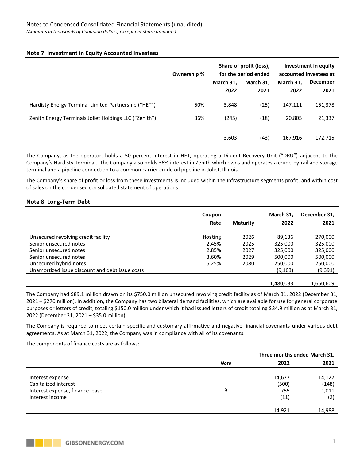# **Note 7 Investment in Equity Accounted Investees**

|                                                        | Ownership % | Share of profit (loss),<br>for the period ended |           |           | Investment in equity<br>accounted investees at |
|--------------------------------------------------------|-------------|-------------------------------------------------|-----------|-----------|------------------------------------------------|
|                                                        |             | March 31,                                       | March 31, | March 31, | <b>December</b>                                |
|                                                        |             | 2022                                            | 2021      | 2022      | 2021                                           |
| Hardisty Energy Terminal Limited Partnership ("HET")   | 50%         | 3,848                                           | (25)      | 147,111   | 151,378                                        |
| Zenith Energy Terminals Joliet Holdings LLC ("Zenith") | 36%         | (245)                                           | (18)      | 20,805    | 21,337                                         |
|                                                        |             |                                                 |           |           |                                                |
|                                                        |             | 3,603                                           | (43)      | 167,916   | 172,715                                        |

The Company, as the operator, holds a 50 percent interest in HET, operating a Diluent Recovery Unit ("DRU") adjacent to the Company's Hardisty Terminal. The Company also holds 36% interest in Zenith which owns and operates a crude-by-rail and storage terminal and a pipeline connection to a common carrier crude oil pipeline in Joliet, Illinois.

The Company's share of profit or loss from these investments is included within the Infrastructure segments profit, and within cost of sales on the condensed consolidated statement of operations.

# **Note 8 Long-Term Debt**

|                                                 | Coupon<br>Rate | <b>Maturity</b> | March 31,<br>2022 | December 31,<br>2021 |
|-------------------------------------------------|----------------|-----------------|-------------------|----------------------|
| Unsecured revolving credit facility             | floating       | 2026            | 89,136            | 270,000              |
| Senior unsecured notes                          | 2.45%          | 2025            | 325.000           | 325,000              |
| Senior unsecured notes                          | 2.85%          | 2027            | 325.000           | 325,000              |
| Senior unsecured notes                          | 3.60%          | 2029            | 500,000           | 500,000              |
| Unsecured hybrid notes                          | 5.25%          | 2080            | 250,000           | 250,000              |
| Unamortized issue discount and debt issue costs |                |                 | (9, 103)          | (9,391)              |
|                                                 |                |                 |                   |                      |
|                                                 |                |                 | 1,480,033         | 1,660,609            |

The Company had \$89.1 million drawn on its \$750.0 million unsecured revolving credit facility as of March 31, 2022 (December 31, 2021 – \$270 million). In addition, the Company has two bilateral demand facilities, which are available for use for general corporate purposes or letters of credit, totaling \$150.0 million under which it had issued letters of credit totaling \$34.9 million as at March 31, 2022 (December 31, 2021 – \$35.0 million).

The Company is required to meet certain specific and customary affirmative and negative financial covenants under various debt agreements. As at March 31, 2022, the Company was in compliance with all of its covenants.

The components of finance costs are as follows:

|                                 | Three months ended March 31, |        |        |  |
|---------------------------------|------------------------------|--------|--------|--|
|                                 | <b>Note</b>                  | 2022   | 2021   |  |
| Interest expense                |                              | 14,677 | 14,127 |  |
| Capitalized interest            |                              | (500)  | (148)  |  |
| Interest expense, finance lease | 9                            | 755    | 1,011  |  |
| Interest income                 |                              | (11)   | (2)    |  |
|                                 |                              |        |        |  |
|                                 |                              | 14,921 | 14,988 |  |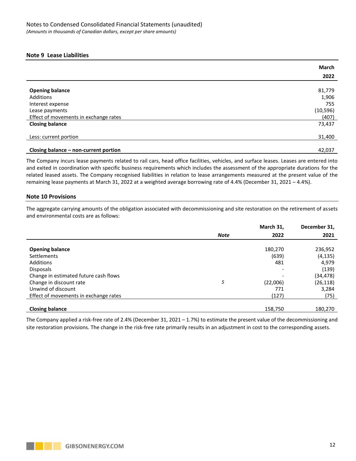## **Note 9 Lease Liabilities**

|                                       | <b>March</b> |
|---------------------------------------|--------------|
|                                       | 2022         |
|                                       |              |
| <b>Opening balance</b>                | 81,779       |
| Additions                             | 1,906        |
| Interest expense                      | 755          |
| Lease payments                        | (10, 596)    |
| Effect of movements in exchange rates | (407)        |
| <b>Closing balance</b>                | 73,437       |
| Less: current portion                 | 31,400       |
|                                       |              |
| Closing balance - non-current portion | 42,037       |

The Company incurs lease payments related to rail cars, head office facilities, vehicles, and surface leases. Leases are entered into and exited in coordination with specific business requirements which includes the assessment of the appropriate durations for the related leased assets. The Company recognised liabilities in relation to lease arrangements measured at the present value of the remaining lease payments at March 31, 2022 at a weighted average borrowing rate of 4.4% (December 31, 2021 – 4.4%).

# **Note 10 Provisions**

The aggregate carrying amounts of the obligation associated with decommissioning and site restoration on the retirement of assets and environmental costs are as follows:

|                                       |             | March 31, | December 31, |
|---------------------------------------|-------------|-----------|--------------|
|                                       | <b>Note</b> | 2022      | 2021         |
|                                       |             |           |              |
| <b>Opening balance</b>                |             | 180,270   | 236,952      |
| <b>Settlements</b>                    |             | (639)     | (4, 135)     |
| Additions                             |             | 481       | 4,979        |
| <b>Disposals</b>                      |             |           | (139)        |
| Change in estimated future cash flows |             |           | (34, 478)    |
| Change in discount rate               | 5           | (22,006)  | (26, 118)    |
| Unwind of discount                    |             | 771       | 3,284        |
| Effect of movements in exchange rates |             | (127)     | (75)         |
|                                       |             |           |              |
| <b>Closing balance</b>                |             | 158,750   | 180.270      |

The Company applied a risk-free rate of 2.4% (December 31, 2021 – 1.7%) to estimate the present value of the decommissioning and site restoration provisions. The change in the risk-free rate primarily results in an adjustment in cost to the corresponding assets.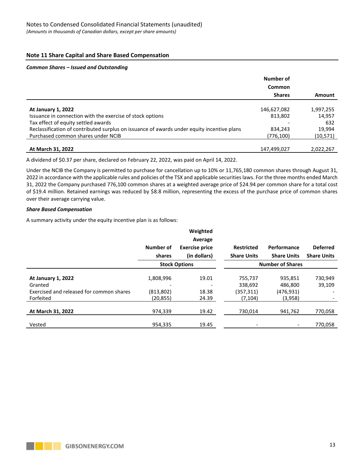# **Note 11 Share Capital and Share Based Compensation**

#### *Common Shares – Issued and Outstanding*

|                                                                                            | Number of<br>Common |           |
|--------------------------------------------------------------------------------------------|---------------------|-----------|
|                                                                                            | <b>Shares</b>       | Amount    |
| <b>At January 1, 2022</b>                                                                  | 146,627,082         | 1,997,255 |
| Issuance in connection with the exercise of stock options                                  | 813,802             | 14,957    |
| Tax effect of equity settled awards                                                        |                     | 632       |
| Reclassification of contributed surplus on issuance of awards under equity incentive plans | 834,243             | 19,994    |
| Purchased common shares under NCIB                                                         | (776, 100)          | (10,571)  |
|                                                                                            |                     |           |
| At March 31, 2022                                                                          | 147,499,027         | 2,022,267 |

A dividend of \$0.37 per share, declared on February 22, 2022, was paid on April 14, 2022.

Under the NCIB the Company is permitted to purchase for cancellation up to 10% or 11,765,180 common shares through August 31, 2022 in accordance with the applicable rules and policies of the TSX and applicable securities laws. For the three months ended March 31, 2022 the Company purchased 776,100 common shares at a weighted average price of \$24.94 per common share for a total cost of \$19.4 million. Retained earnings was reduced by \$8.8 million, representing the excess of the purchase price of common shares over their average carrying value.

#### *Share Based Compensation*

A summary activity under the equity incentive plan is as follows:

|                                          |                      | Weighted              |                    |                          |                    |
|------------------------------------------|----------------------|-----------------------|--------------------|--------------------------|--------------------|
|                                          |                      | Average               |                    |                          |                    |
|                                          | Number of            | <b>Exercise price</b> | <b>Restricted</b>  | Performance              | <b>Deferred</b>    |
|                                          | shares               | (in dollars)          | <b>Share Units</b> | <b>Share Units</b>       | <b>Share Units</b> |
|                                          | <b>Stock Options</b> |                       |                    | <b>Number of Shares</b>  |                    |
|                                          |                      |                       |                    |                          |                    |
| <b>At January 1, 2022</b>                | 1,808,996            | 19.01                 | 755,737            | 935,851                  | 730,949            |
| Granted                                  |                      |                       | 338,692            | 486,800                  | 39,109             |
| Exercised and released for common shares | (813,802)            | 18.38                 | (357, 311)         | (476,931)                |                    |
| Forfeited                                | (20, 855)            | 24.39                 | (7, 104)           | (3,958)                  |                    |
|                                          |                      |                       |                    |                          |                    |
| At March 31, 2022                        | 974,339              | 19.42                 | 730,014            | 941,762                  | 770,058            |
|                                          |                      |                       |                    |                          |                    |
| Vested                                   | 954,335              | 19.45                 | -                  | $\overline{\phantom{a}}$ | 770,058            |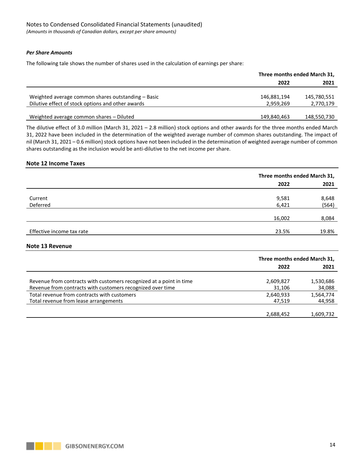#### *Per Share Amounts*

The following tale shows the number of shares used in the calculation of earnings per share:

|                                                    | Three months ended March 31, |             |  |
|----------------------------------------------------|------------------------------|-------------|--|
|                                                    | 2022                         | 2021        |  |
|                                                    |                              |             |  |
| Weighted average common shares outstanding – Basic | 146,881,194                  | 145,780,551 |  |
| Dilutive effect of stock options and other awards  | 2,959,269                    | 2,770,179   |  |
|                                                    |                              |             |  |
| Weighted average common shares - Diluted           | 149,840,463                  | 148,550,730 |  |

The dilutive effect of 3.0 million (March 31, 2021 – 2.8 million) stock options and other awards for the three months ended March 31, 2022 have been included in the determination of the weighted average number of common shares outstanding. The impact of nil (March 31, 2021 – 0.6 million) stock options have not been included in the determination of weighted average number of common shares outstanding as the inclusion would be anti-dilutive to the net income per share.

#### **Note 12 Income Taxes**

|                           |        | Three months ended March 31, |  |  |
|---------------------------|--------|------------------------------|--|--|
|                           | 2022   | 2021                         |  |  |
| Current                   | 9,581  | 8,648                        |  |  |
| Deferred                  | 6,421  | (564)                        |  |  |
|                           | 16,002 | 8,084                        |  |  |
| Effective income tax rate | 23.5%  | 19.8%                        |  |  |
| Note 13 Revenue           |        |                              |  |  |
|                           |        | Three months ended March 31, |  |  |
|                           | つのつつ   | 2021                         |  |  |

|                                                                     | ZUZZ      | ZUZI      |
|---------------------------------------------------------------------|-----------|-----------|
|                                                                     |           |           |
| Revenue from contracts with customers recognized at a point in time | 2,609,827 | 1,530,686 |
| Revenue from contracts with customers recognized over time          | 31,106    | 34,088    |
| Total revenue from contracts with customers                         | 2,640,933 | 1,564,774 |
| Total revenue from lease arrangements                               | 47.519    | 44,958    |
|                                                                     |           |           |
|                                                                     | 2,688,452 | 1,609,732 |
|                                                                     |           |           |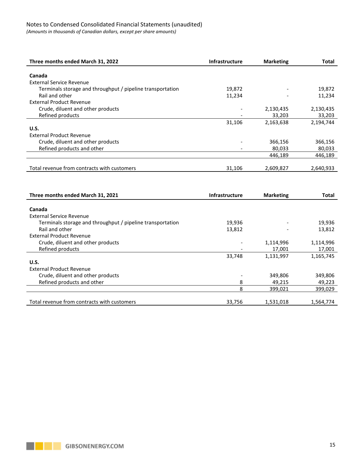# Notes to Condensed Consolidated Financial Statements (unaudited)

*(Amounts in thousands of Canadian dollars, except per share amounts)*

| Three months ended March 31, 2022                                            | <b>Infrastructure</b> | <b>Marketing</b> | <b>Total</b> |
|------------------------------------------------------------------------------|-----------------------|------------------|--------------|
| Canada                                                                       |                       |                  |              |
| <b>External Service Revenue</b>                                              |                       |                  |              |
|                                                                              |                       |                  |              |
| Terminals storage and throughput / pipeline transportation                   | 19,872                |                  | 19,872       |
| Rail and other                                                               | 11,234                |                  | 11,234       |
| <b>External Product Revenue</b>                                              |                       |                  |              |
| Crude, diluent and other products                                            |                       | 2,130,435        | 2,130,435    |
| Refined products                                                             |                       | 33,203           | 33,203       |
|                                                                              | 31,106                | 2,163,638        | 2,194,744    |
| <b>U.S.</b>                                                                  |                       |                  |              |
| <b>External Product Revenue</b>                                              |                       |                  |              |
| Crude, diluent and other products                                            |                       | 366,156          | 366,156      |
| Refined products and other                                                   |                       | 80,033           | 80,033       |
|                                                                              |                       | 446,189          | 446,189      |
|                                                                              |                       |                  |              |
| Total revenue from contracts with customers                                  | 31,106                | 2,609,827        | 2,640,933    |
|                                                                              |                       |                  |              |
|                                                                              |                       |                  |              |
| Three months ended March 31, 2021                                            | <b>Infrastructure</b> | <b>Marketing</b> | Total        |
| Canada                                                                       |                       |                  |              |
| <b>External Service Revenue</b>                                              |                       |                  |              |
|                                                                              |                       |                  |              |
| Terminals storage and throughput / pipeline transportation<br>Rail and other |                       |                  |              |
|                                                                              | 19,936                |                  | 19,936       |
|                                                                              | 13,812                |                  | 13,812       |
| <b>External Product Revenue</b>                                              |                       |                  |              |
| Crude, diluent and other products                                            |                       | 1,114,996        | 1,114,996    |
| Refined products                                                             |                       | 17,001           | 17,001       |
|                                                                              | 33,748                | 1,131,997        | 1,165,745    |
| <b>U.S.</b>                                                                  |                       |                  |              |
| <b>External Product Revenue</b>                                              |                       |                  |              |
| Crude, diluent and other products                                            |                       | 349,806          | 349,806      |
| Refined products and other                                                   | 8                     | 49,215           | 49,223       |
|                                                                              | 8                     | 399,021          | 399,029      |
| Total revenue from contracts with customers                                  | 33,756                | 1,531,018        | 1,564,774    |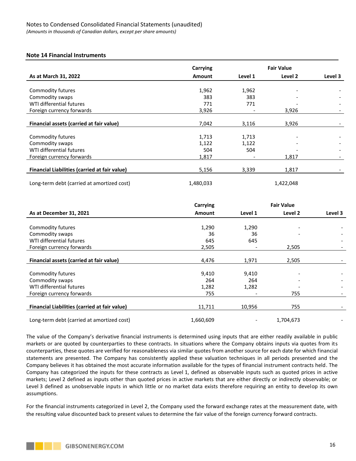#### **Note 14 Financial Instruments**

|                                               | Carrying      | <b>Fair Value</b> |           |         |
|-----------------------------------------------|---------------|-------------------|-----------|---------|
| As at March 31, 2022                          | <b>Amount</b> | Level 1           | Level 2   | Level 3 |
|                                               |               |                   |           |         |
| Commodity futures                             | 1,962         | 1,962             |           |         |
| Commodity swaps                               | 383           | 383               |           |         |
| WTI differential futures                      | 771           | 771               |           |         |
| Foreign currency forwards                     | 3,926         |                   | 3,926     |         |
|                                               |               |                   |           |         |
| Financial assets (carried at fair value)      | 7,042         | 3,116             | 3,926     |         |
|                                               |               |                   |           |         |
| Commodity futures                             | 1,713         | 1,713             |           |         |
| Commodity swaps                               | 1,122         | 1,122             |           |         |
| WTI differential futures                      | 504           | 504               |           |         |
| Foreign currency forwards                     | 1,817         |                   | 1,817     |         |
|                                               |               |                   |           |         |
| Financial Liabilities (carried at fair value) | 5,156         | 3,339             | 1,817     |         |
| Long-term debt (carried at amortized cost)    | 1,480,033     |                   | 1,422,048 |         |

|                                               | Carrying      | <b>Fair Value</b> |           |         |
|-----------------------------------------------|---------------|-------------------|-----------|---------|
| As at December 31, 2021                       | <b>Amount</b> | Level 1           | Level 2   | Level 3 |
|                                               |               |                   |           |         |
| Commodity futures                             | 1,290         | 1,290             |           |         |
| Commodity swaps                               | 36            | 36                |           |         |
| WTI differential futures                      | 645           | 645               |           |         |
| Foreign currency forwards                     | 2,505         |                   | 2,505     |         |
|                                               |               |                   |           |         |
| Financial assets (carried at fair value)      | 4,476         | 1,971             | 2,505     |         |
|                                               |               |                   |           |         |
| Commodity futures                             | 9,410         | 9,410             |           |         |
| Commodity swaps                               | 264           | 264               |           |         |
| WTI differential futures                      | 1,282         | 1,282             |           |         |
| Foreign currency forwards                     | 755           |                   | 755       |         |
|                                               |               |                   |           |         |
| Financial Liabilities (carried at fair value) | 11,711        | 10,956            | 755       |         |
| Long-term debt (carried at amortized cost)    | 1,660,609     |                   | 1,704,673 |         |
|                                               |               |                   |           |         |

The value of the Company's derivative financial instruments is determined using inputs that are either readily available in public markets or are quoted by counterparties to these contracts. In situations where the Company obtains inputs via quotes from its counterparties, these quotes are verified for reasonableness via similar quotes from another source for each date for which financial statements are presented. The Company has consistently applied these valuation techniques in all periods presented and the Company believes it has obtained the most accurate information available for the types of financial instrument contracts held. The Company has categorized the inputs for these contracts as Level 1, defined as observable inputs such as quoted prices in active markets; Level 2 defined as inputs other than quoted prices in active markets that are either directly or indirectly observable; or Level 3 defined as unobservable inputs in which little or no market data exists therefore requiring an entity to develop its own assumptions.

For the financial instruments categorized in Level 2, the Company used the forward exchange rates at the measurement date, with the resulting value discounted back to present values to determine the fair value of the foreign currency forward contracts.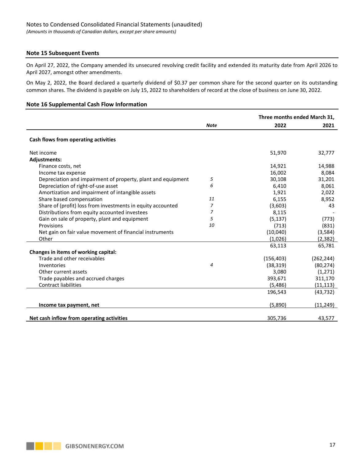# **Note 15 Subsequent Events**

On April 27, 2022, the Company amended its unsecured revolving credit facility and extended its maturity date from April 2026 to April 2027, amongst other amendments.

On May 2, 2022, the Board declared a quarterly dividend of \$0.37 per common share for the second quarter on its outstanding common shares. The dividend is payable on July 15, 2022 to shareholders of record at the close of business on June 30, 2022.

#### **Note 16 Supplemental Cash Flow Information**

|                                                              |             | Three months ended March 31, |            |  |
|--------------------------------------------------------------|-------------|------------------------------|------------|--|
|                                                              | <b>Note</b> | 2022                         | 2021       |  |
| Cash flows from operating activities                         |             |                              |            |  |
| Net income                                                   |             | 51,970                       | 32,777     |  |
| <b>Adjustments:</b>                                          |             |                              |            |  |
| Finance costs, net                                           |             | 14,921                       | 14,988     |  |
| Income tax expense                                           |             | 16,002                       | 8,084      |  |
| Depreciation and impairment of property, plant and equipment | 5           | 30,108                       | 31,201     |  |
| Depreciation of right-of-use asset                           | 6           | 6,410                        | 8,061      |  |
| Amortization and impairment of intangible assets             |             | 1,921                        | 2,022      |  |
| Share based compensation                                     | 11          | 6,155                        | 8,952      |  |
| Share of (profit) loss from investments in equity accounted  | 7           | (3,603)                      | 43         |  |
| Distributions from equity accounted investees                | 7           | 8,115                        |            |  |
| Gain on sale of property, plant and equipment                | 5           | (5, 137)                     | (773)      |  |
| Provisions                                                   | 10          | (713)                        | (831)      |  |
| Net gain on fair value movement of financial instruments     |             | (10,040)                     | (3, 584)   |  |
| Other                                                        |             | (1,026)                      | (2, 382)   |  |
|                                                              |             | 63,113                       | 65,781     |  |
| Changes in items of working capital:                         |             |                              |            |  |
| Trade and other receivables                                  |             | (156, 403)                   | (262, 244) |  |
| Inventories                                                  | 4           | (38, 319)                    | (80, 274)  |  |
| Other current assets                                         |             | 3,080                        | (1,271)    |  |
| Trade payables and accrued charges                           |             | 393,671                      | 311,170    |  |
| <b>Contract liabilities</b>                                  |             | (5,486)                      | (11, 113)  |  |
|                                                              |             | 196,543                      | (43, 732)  |  |
| Income tax payment, net                                      |             | (5,890)                      | (11, 249)  |  |
| Net cash inflow from operating activities                    |             | 305,736                      | 43,577     |  |